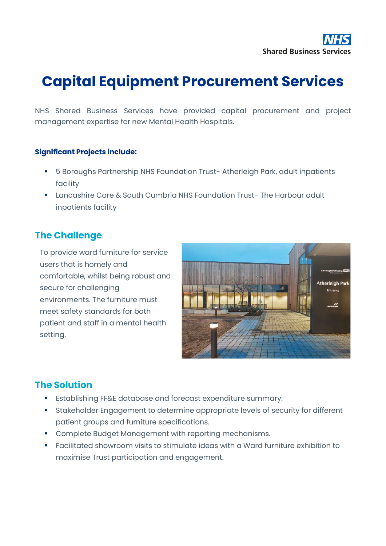# **Capital Equipment Procurement Services**

NHS Shared Business Services have provided capital procurement and project management expertise for new Mental Health Hospitals.

#### **Significant Projects include:**

- 5 Boroughs Partnership NHS Foundation Trust- Atherleigh Park, adult inpatients facility
- Lancashire Care & South Cumbria NHS Foundation Trust- The Harbour adult inpatients facility

### **The Challenge**

To provide ward furniture for service users that is homely and comfortable, whilst being robust and secure for challenging environments. The furniture must meet safety standards for both patient and staff in a mental health setting.



#### **The Solution**

- **Establishing FF&E database and forecast expenditure summary.**
- **EXECTEDFEDED FIGUREY Inc.** Stakeholder Engagement to determine appropriate levels of security for different patient groups and furniture specifications.
- Complete Budget Management with reporting mechanisms.
- Facilitated showroom visits to stimulate ideas with a Ward furniture exhibition to maximise Trust participation and engagement.